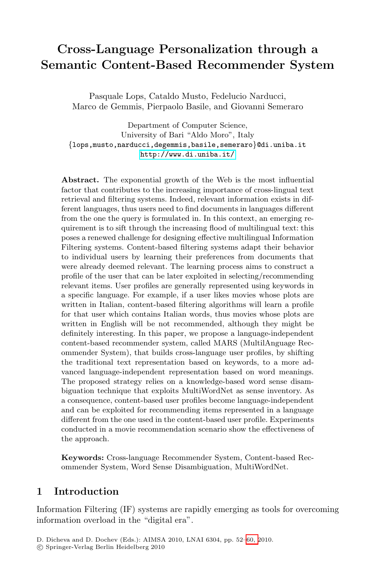# **Cross-Language Personalization through a Sem[antic](http://www.di.uniba.it/) [Content-B](http://www.di.uniba.it/)ased Recommender System**

Pasquale Lops, Cataldo Musto, Fedelucio Narducci, Marco de Gemmis, Pierpaolo Basile, and Giovanni Semeraro

Department of Computer Science, University of Bari "Aldo Moro", Italy *{*lops,musto,narducci,degemmis,basile,semeraro*}*@di.uniba.it http://www.di.uniba.it/

**Abstract.** The exponential growth of the Web is the most influential factor that contributes to the increasing importance of cross-lingual text retrieval and filtering systems. Indeed, relevant information exists in different languages, thus users need to find documents in languages different from the one the query is formulated in. In this context, an emerging requirement is to sift through the increasing flood of multilingual text: this poses a renewed challenge for designing effective multilingual Information Filtering systems. Content-based filtering systems adapt their behavior to individual users by learning their preferences from documents that were already deemed relevant. The learning process aims to construct a profile of the user that can be later exploited in selecting/recommending relevant items. User profiles are generally represented using keywords in a specific language. For example, if a user likes movies whose plots are written in Italian, content-based filtering algorithms will learn a profile for that user which contains Italian words, thus movies whose plots are written in English will be not recommended, although they might be definitely interesting. In this paper, we propose a language-independent content-based recommender system, called MARS (MultilAnguage Recommender System), that builds cross-language user profiles, by shifting the traditional text representation based on keywords, to a more advanced language-independent representation based on word meanings. The proposed strategy relies on a knowledge-based word sense disambiguation technique that exploits MultiWordNet as sense inventory. As a consequence, content-based user profiles become language-independent and can be exploited for recommending items represented in a language different from the one used in the content-based user profile. Experiments conducted in a movie recommendation scenario show the effectiveness of the approach.

**Keywords:** Cross-language Re[com](#page-8-0)mender System, Content-based Recommender System, Word Sense Disambiguation, MultiWordNet.

# **1 Introduction**

Information Filtering (IF) systems are rapidly emerging as tools for overcoming information overload in the "digital era".

D. Dicheva and D. Dochev (Eds.): AIMSA 2010, LNAI 6304, pp. 52–60, 2010. -c Springer-Verlag Berlin Heidelberg 2010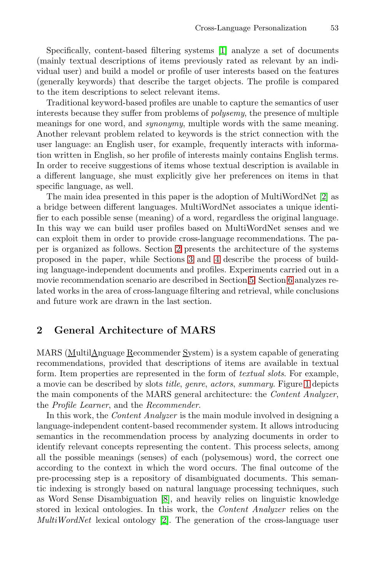Specifically, content-based filtering systems [1] analyze a set of documents (mainly textual descriptions of items previously rated as relevant by an individual user) and build a model or profile of user interests based on the features (generally keywords) that describe the target objects. The profile is compared to the item descriptions to select relevant items.

Traditional keyword-based profiles are unable to capture the semantics of user interests because they suffer from problems of *polysemy*, [th](#page-8-1)e presence of multiple meanings for one word, and *synonymy*, multiple words with the same meaning. Another relevant problem related to keywords is the strict connection with the user language: an English user, for example, frequently interacts with information written in English, so her profile of interests mainly contains English terms. In order to receiv[e](#page-1-0) suggestions of items whose textual description is available in a different language, [s](#page-2-0)he m[us](#page-4-0)t explicitly give her preferences on items in that specific language, as well.

<span id="page-1-0"></span>The main idea presented in this p[ap](#page-5-0)er is the [ad](#page-7-0)option of MultiWordNet [2] as a bridge between different languages. MultiWordNet associates a unique identifier to each possible sense (meaning) of a word, regardless the original language. In this way we can build user profiles based on MultiWordNet senses and we can exploit them in order to provide cross-language recommendations. The paper is organized as follows. Section 2 presents the architecture of the systems proposed in the paper, while Sections 3 and 4 describe the process of building language-independent documents and profiles. Experiments carried out in a movie recommendation scenario are described in Section 5. Section 6 analyzes related works in the area of cross-language filtering and retrieval, while conclusions and future work are drawn in the last section.

## **2 General Architecture of MARS**

MARS (MultilAnguage Recommender System) is a system capable of generating recommendations, provided that descriptions of items are available in textual form. Item properties are represented in the form of *textual slots*. For example, a movie can be described by slots *title*, *genre*, *actors*, *summary*. Figure 1 depicts the main components of the MARS general architecture: the *Content Analyzer*, the *Profile Learner*, and the *Recommender*.

In this wor[k, t](#page-8-2)he *Content Analyzer* is the main module involved in designing a language-independent content-based recommender system. It allows introducing semantics in [the](#page-8-1) recommendation process by analyzing documents in order to identify relevant concepts representing the content. This process selects, among all the possible meanings (senses) of each (polysemous) word, the correct one according to the context in which the word occurs. The final outcome of the pre-processing step is a repository of disambiguated documents. This semantic indexing is strongly based on natural language processing techniques, such as Word Sense Disambiguation [8], and heavily relies on linguistic knowledge stored in lexical ontologies. In this work, the *Content Analyzer* relies on the *MultiWordNet* lexical ontology [2]. The generation of the cross-language user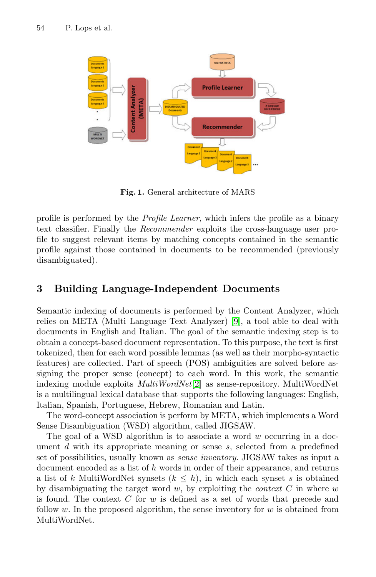54 P. Lops et al.



**Fig. 1.** General architecture of MARS

<span id="page-2-0"></span>profile is performed by the *Profile Learner*, which infers the profile as a binary text classifier. Finally the *Recommender* exploits the cross-language user profile to suggest relevant items b[y m](#page-8-3)atching concepts contained in the semantic profile against those contained in documents to be recommended (previously disambiguated).

### **3 Building Language-Independent Documents**

Semantic indexing of documents is performed by the Content Analyzer, which relies on META (Multi Language Text Analyzer) [9], a tool able to deal with documents in English and Italian. The goal of the semantic indexing step is to obtain a concept-based document representation. To this purpose, the text is first tokenized, then for each word possible lemmas (as well as their morpho-syntactic features) are collected. Part of speech (POS) ambiguities are solved before assigning the proper sense (concept) to each word. In this work, the semantic indexing module exploits *MultiWordNet*[2] as sense-repository. MultiWordNet is a multilingual lexical database that supports the following languages: English, Italian, Spanish, Portuguese, Hebrew, Romanian and Latin.

The word-concept association is perform by META, which implements a Word Sense Disambiguation (WSD) algorithm, called JIGSAW.

The goal of a WSD algorithm is to associate a word w occurring in a document  $d$  with its appropriate meaning or sense  $s$ , selected from a predefined set of possibilities, usually known as *sense inventory*. JIGSAW takes as input a document encoded as a list of h words in order of their appearance, and returns a list of k MultiWordNet synsets  $(k \leq h)$ , in which each synset s is obtained by disambiguating the target word w, by exploiting the *context* C in where w is found. The context C for w is defined as a set of words that precede and follow  $w$ . In the proposed algorithm, the sense inventory for  $w$  is obtained from MultiWordNet.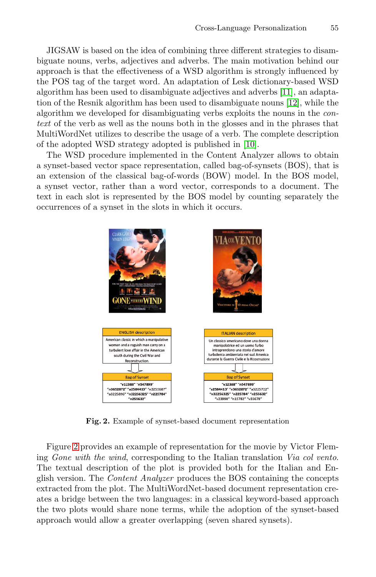JIGSAW is based on the idea of combining three different strategies to disambiguate nouns, verbs, adjectives an[d ad](#page-8-5)verbs. The main motivation behind our approach is that the effectiveness of a WSD algorithm is strongly influenced by the POS tag of the target word. An adaptation of Lesk dictionary-based WSD algorithm has been used to disambiguate adjectives and adverbs [11], an adaptation of the Resnik algorithm has been used to disambiguate nouns [12], while the algorithm we developed for disambiguating verbs exploits the nouns in the *context* of the verb as well as the nouns both in the glosses and in the phrases that MultiWordNet utilizes to describe the usage of a verb. The complete description of the adopted WSD strategy adopted is published in [10].

The WSD procedure implemented in the Content Analyzer allows to obtain a synset-based vector space representation, called bag-of-synsets (BOS), that is an extension of the classical bag-of-words (BOW) model. In the BOS model, a synset vector, rather than a word vector, corresponds to a document. The text in each slot is represented by the BOS model by counting separately the occurrences of a synset in the slots in which it occurs.



**Fig. 2.** Example of synset-based document representation

Figure 2 provides an example of representation for the movie by Victor Fleming *Gone with the wind*, corresponding to the Italian translation *Via col vento*. The textual description of the plot is provided both for the Italian and English version. The *Content Analyzer* produces the BOS containing the concepts extracted from the plot. The MultiWordNet-based document representation creates a bridge between the two languages: in a classical keyword-based approach the two plots would share none terms, while the adoption of the synset-based approach would allow a greater overlapping (seven shared synsets).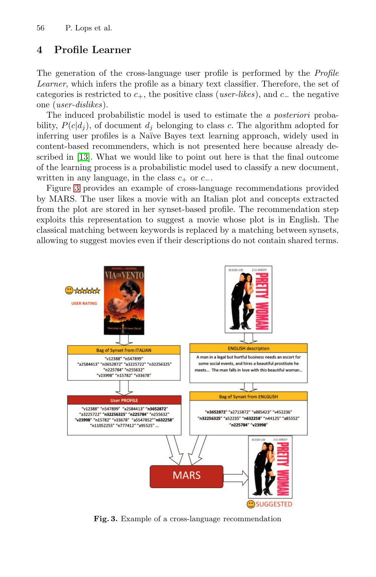<span id="page-4-0"></span>56 P. Lops et al.

# **4 Profile Learner**

The generation of the cross-language user profile is performed by the *Profile Learner*, which infers the profile as a binary text classifier. Therefore, the set of categories is restricted to <sup>c</sup>+, the positive class (*user-likes*), and <sup>c</sup><sup>−</sup> the negative one (*user-dislikes*).

The induced probabilistic model is used to estimate the *a posteriori* probability,  $P(c|d_i)$ , of document  $d_i$  belonging to class c. The algorithm adopted for inferring user profiles is a Naïve Bayes text learning approach, widely used in content-based recommenders, which is not presented here because already described in [13]. What we would like to point out here is that the final outcome of the learning process is a probabilistic model used to classify a new document, written in any language, in the class  $c_+$  or  $c_-.$ 

Figure 3 provides an example of cross-language recommendations provided by MARS. The user likes a movie with an Italian plot and concepts extracted from the plot are stored in her synset-based profile. The recommendation step exploits this representation to suggest a movie whose plot is in English. The classical matching between keywords is replaced by a matching between synsets, allowing to suggest movies even if their descriptions do not contain shared terms.



**Fig. 3.** Example of a cross-language recommendation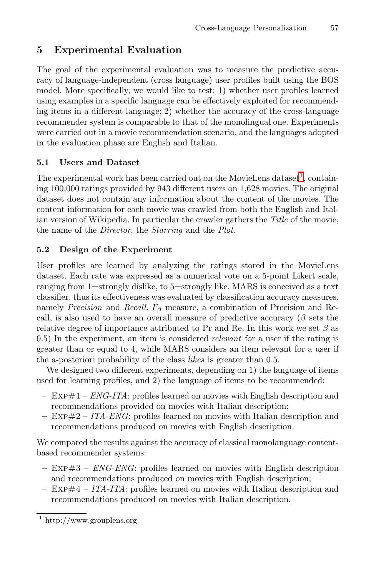### <span id="page-5-0"></span>**5 Experimental Evaluation**

The goal of the experimental evaluation was to measure the predictive accuracy of language-independent (cross language) user profiles built using the BOS model. More specifically, we would like to test: 1) whether user profiles learned using examples in a specific language can be effecti[ve](#page-5-1)ly exploited for recommending items in a different language; 2) whether the accuracy of the cross-language recommender system is comparable to that of the monolingual one. Experiments were carried out in a movie recommendation scenario, and the languages adopted in the evaluation phase are English and Italian.

#### **5.1 Users and Dataset**

The experimental work has been carried out on the MovieLens dataset<sup>1</sup>, containing 100,000 ratings provided by 943 different users on 1,628 movies. The original dataset does not contain any information about the content of the movies. The content information for each movie was crawled from both the English and Italian version of Wikipedia. In particular the crawler gathers the *Title* of the movie, the name of the *Director*, the *Starring* and the *Plot*.

#### **5.2 Design of the Experiment**

User profiles are learned by analyzing the ratings stored in the MovieLens dataset. Each rate was expressed as a numerical vote on a 5-point Likert scale, ranging from 1=strongly dislike, to 5=strongly like. MARS is conceived as a text classifier, thus its effectiveness was evaluated by classification accuracy measures, namely *Precision* and *Recall.*  $F_\beta$  measure, a combination of Precision and Recall, is also used to have an overall measure of predictive accuracy ( $\beta$  sets the relative degree of importance attributed to Pr and Re. In this work we set  $\beta$  as 0.5) In the experiment, an item is considered *relevant* for a user if the rating is greater than or equal to 4, while MARS considers an item relevant for a user if the a-posteriori probability of the class *likes* is greater than 0.5.

We designed two different experiments, depending on 1) the language of items used for learning profiles, and 2) the language of items to be recommended:

- **–** Exp#1 *ENG-ITA*: profiles learned on movies with English description and recommendations provided on movies with Italian description;
- **–** Exp#2 *ITA-ENG*: profiles learned on movies with Italian description and recommendations produced on movies with English description.

<span id="page-5-1"></span>We compared the results against the accuracy of classical monolanguage contentbased recommender systems:

- **–** Exp#3 *ENG-ENG*: profiles learned on movies with English description and recommendations produced on movies with English description;
- **–** Exp#4 *ITA-ITA*: profiles learned on movies with Italian description and recommendations produced on movies with Italian description.

<sup>1</sup> http://www.grouplens.org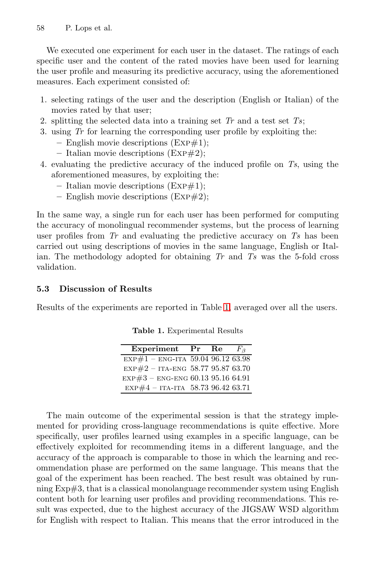#### 58 P. Lops et al.

We executed one experiment for each user in the dataset. The ratings of each specific user and the content of the rated movies have been used for learning the user profile and measuring its predictive accuracy, using the aforementioned measures. Each experiment consisted of:

- 1. selecting ratings of the user and the description (English or Italian) of the movies rated by that user;
- 2. splitting the selected data into a training set *Tr* and a test set *Ts*;
- 3. using *Tr* for learning the corresponding user profile by exploiting the: **–** English movie descriptions (Exp#1);
	- **–** Italian movie descriptions (Exp#2);
- 4. evaluating the predictive accuracy of the induced profile on *Ts*, using the aforementioned measures, by exploiting the:
	- **–** Italian movie descriptions (Exp#1);
	- **–** English movie descriptions (Exp#2);

In the same way, a single run for each user has been performed for computing the accuracy of monolingual r[ec](#page-6-0)ommender systems, but the process of learning user profiles from *Tr* and evaluating the predictive accuracy on *Ts* has been carried out using descriptions of movies in the same language, English or Italian. The methodology adopted for obtaining *Tr* and *Ts* was the 5-fold cross validation.

#### <span id="page-6-0"></span>**5.3 Discussion of Results**

Results of the experiments are reported in Table 1, averaged over all the users.

| $\overline{EXP#1}$ - ENG-ITA 59.04 96.12 63.98<br>EXP#2 - ITA-ENG 58.77 95.87 63.70<br>$EXP#3$ - ENG-ENG 60.13 95.16 64.91<br>EXP#4 - ITA-ITA 58.73 96.42 63.71 | Experiment | $Pr$ Re | $F_{\beta}$ |
|-----------------------------------------------------------------------------------------------------------------------------------------------------------------|------------|---------|-------------|
|                                                                                                                                                                 |            |         |             |
|                                                                                                                                                                 |            |         |             |
|                                                                                                                                                                 |            |         |             |
|                                                                                                                                                                 |            |         |             |

**Table 1.** Experimental Results

The main outcome of the experimental session is that the strategy implemented for providing cross-language recommendations is quite effective. More specifically, user profiles learned using examples in a specific language, can be effectively exploited for recommending items in a different language, and the accuracy of the approach is comparable to those in which the learning and recommendation phase are performed on the same language. This means that the goal of the experiment has been reached. The best result was obtained by running Exp#3, that is a classical monolanguage recommender system using English content both for learning user profiles and providing recommendations. This result was expected, due to the highest accuracy of the JIGSAW WSD algorithm for English with respect to Italian. This means that the error introduced in the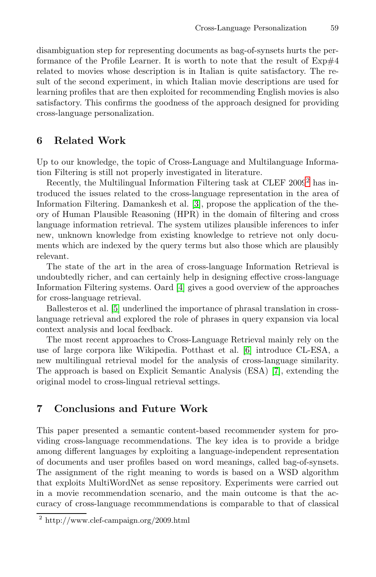<span id="page-7-0"></span>disambiguation step for representing documents as bag-of-synsets hurts the performance of the Profile Learner. It is worth to note that the result of  $Exp#4$ related to movies whose description is in Italian is quite satisfactory. The result of the second experiment, in which Italian movie descriptions are used for learning profiles that are then exploited for recommending English movies is also satisfactory. This confirms the goodness of the app[ro](#page-7-1)ach designed for providing cross-language personalization.

### **6 Related Work**

Up to our knowledge, the topic of Cross-Language and Multilanguage Information Filtering is still not properly investigated in literature.

Recently, the Multilingual Information Filtering task at CLEF 2009<sup>2</sup> has introduced the issues related to the cross-language representation in the area of Information Filte[rin](#page-8-6)g. Damankesh et al. [3], propose the application of the theory of Human Plausible Reasoning (HPR) in the domain of filtering and cross l[an](#page-8-7)guage information retrieval. The system utilizes plausible inferences to infer new, unknown knowledge from existing knowledge to retrieve not only documents which are indexed by the query terms but also those which are plausibly relevant.

The state of the art in the are[a o](#page-8-8)f cross-language Information Retrieval is undoubtedly richer, and can certainly help in designing effective cross-language Information Filtering systems. Oard [4] giv[es](#page-8-9) a good overview of the approaches for cross-language retrieval.

Ballesteros et al. [5] underlined the importance of phrasal translation in crosslanguage retrieval and explored the role of phrases in query expansion via local context analysis and local feedback.

The most recent approaches to Cross-Language Retrieval mainly rely on the use of large corpora like Wikipedia. Potthast et al. [6] introduce CL-ESA, a new multilingual retrieval model for the analysis of cross-language similarity. The approach is based on Explicit Semantic Analysis (ESA) [7], extending the original model to cross-lingual retrieval settings.

### **7 Conclusions and Future Work**

<span id="page-7-1"></span>This paper presented a semantic content-based recommender system for providing cross-language recommendations. The key idea is to provide a bridge among different languages by exploiting a language-independent representation of documents and user profiles based on word meanings, called bag-of-synsets. The assignment of the right meaning to words is based on a WSD algorithm that exploits MultiWordNet as sense repository. Experiments were carried out in a movie recommendation scenario, and the main outcome is that the accuracy of cross-language recommmendations is comparable to that of classical

<sup>2</sup> http://www.clef-campaign.org/2009.html